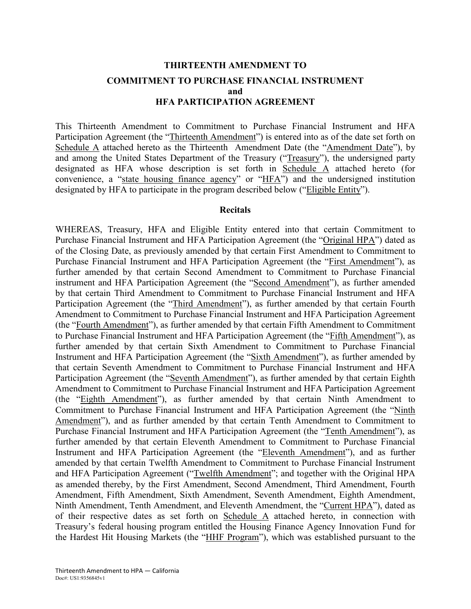# **THIRTEENTH AMENDMENT TO COMMITMENT TO PURCHASE FINANCIAL INSTRUMENT and HFA PARTICIPATION AGREEMENT**

This Thirteenth Amendment to Commitment to Purchase Financial Instrument and HFA Participation Agreement (the "Thirteenth Amendment") is entered into as of the date set forth on Schedule A attached hereto as the Thirteenth Amendment Date (the "Amendment Date"), by and among the United States Department of the Treasury ("Treasury"), the undersigned party designated as HFA whose description is set forth in Schedule A attached hereto (for convenience, a "state housing finance agency" or "HFA") and the undersigned institution designated by HFA to participate in the program described below ("Eligible Entity").

#### **Recitals**

WHEREAS, Treasury, HFA and Eligible Entity entered into that certain Commitment to Purchase Financial Instrument and HFA Participation Agreement (the "Original HPA") dated as of the Closing Date, as previously amended by that certain First Amendment to Commitment to Purchase Financial Instrument and HFA Participation Agreement (the "First Amendment"), as further amended by that certain Second Amendment to Commitment to Purchase Financial instrument and HFA Participation Agreement (the "Second Amendment"), as further amended by that certain Third Amendment to Commitment to Purchase Financial Instrument and HFA Participation Agreement (the "Third Amendment"), as further amended by that certain Fourth Amendment to Commitment to Purchase Financial Instrument and HFA Participation Agreement (the "Fourth Amendment"), as further amended by that certain Fifth Amendment to Commitment to Purchase Financial Instrument and HFA Participation Agreement (the "Fifth Amendment"), as further amended by that certain Sixth Amendment to Commitment to Purchase Financial Instrument and HFA Participation Agreement (the "Sixth Amendment"), as further amended by that certain Seventh Amendment to Commitment to Purchase Financial Instrument and HFA Participation Agreement (the "Seventh Amendment"), as further amended by that certain Eighth Amendment to Commitment to Purchase Financial Instrument and HFA Participation Agreement (the "Eighth Amendment"), as further amended by that certain Ninth Amendment to Commitment to Purchase Financial Instrument and HFA Participation Agreement (the "Ninth Amendment"), and as further amended by that certain Tenth Amendment to Commitment to Purchase Financial Instrument and HFA Participation Agreement (the "Tenth Amendment"), as further amended by that certain Eleventh Amendment to Commitment to Purchase Financial Instrument and HFA Participation Agreement (the "Eleventh Amendment"), and as further amended by that certain Twelfth Amendment to Commitment to Purchase Financial Instrument and HFA Participation Agreement ("Twelfth Amendment"; and together with the Original HPA as amended thereby, by the First Amendment, Second Amendment, Third Amendment, Fourth Amendment, Fifth Amendment, Sixth Amendment, Seventh Amendment, Eighth Amendment, Ninth Amendment, Tenth Amendment, and Eleventh Amendment, the "Current HPA"), dated as of their respective dates as set forth on Schedule A attached hereto, in connection with Treasury's federal housing program entitled the Housing Finance Agency Innovation Fund for the Hardest Hit Housing Markets (the "HHF Program"), which was established pursuant to the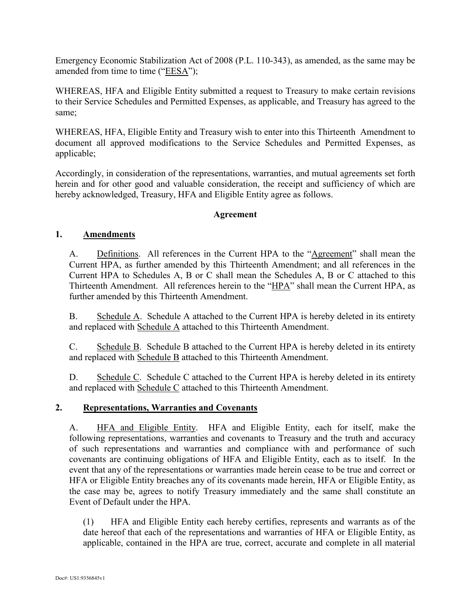Emergency Economic Stabilization Act of 2008 (P.L. 110-343), as amended, as the same may be amended from time to time ("EESA");

WHEREAS, HFA and Eligible Entity submitted a request to Treasury to make certain revisions to their Service Schedules and Permitted Expenses, as applicable, and Treasury has agreed to the same;

WHEREAS, HFA, Eligible Entity and Treasury wish to enter into this Thirteenth Amendment to document all approved modifications to the Service Schedules and Permitted Expenses, as applicable;

Accordingly, in consideration of the representations, warranties, and mutual agreements set forth herein and for other good and valuable consideration, the receipt and sufficiency of which are hereby acknowledged, Treasury, HFA and Eligible Entity agree as follows.

### **Agreement**

# **1. Amendments**

A. Definitions. All references in the Current HPA to the "Agreement" shall mean the Current HPA, as further amended by this Thirteenth Amendment; and all references in the Current HPA to Schedules A, B or C shall mean the Schedules A, B or C attached to this Thirteenth Amendment. All references herein to the "HPA" shall mean the Current HPA, as further amended by this Thirteenth Amendment.

B. Schedule A. Schedule A attached to the Current HPA is hereby deleted in its entirety and replaced with Schedule A attached to this Thirteenth Amendment.

C. Schedule B. Schedule B attached to the Current HPA is hereby deleted in its entirety and replaced with Schedule B attached to this Thirteenth Amendment.

D. Schedule C. Schedule C attached to the Current HPA is hereby deleted in its entirety and replaced with Schedule C attached to this Thirteenth Amendment.

# **2. Representations, Warranties and Covenants**

A. HFA and Eligible Entity. HFA and Eligible Entity, each for itself, make the following representations, warranties and covenants to Treasury and the truth and accuracy of such representations and warranties and compliance with and performance of such covenants are continuing obligations of HFA and Eligible Entity, each as to itself. In the event that any of the representations or warranties made herein cease to be true and correct or HFA or Eligible Entity breaches any of its covenants made herein, HFA or Eligible Entity, as the case may be, agrees to notify Treasury immediately and the same shall constitute an Event of Default under the HPA.

(1) HFA and Eligible Entity each hereby certifies, represents and warrants as of the date hereof that each of the representations and warranties of HFA or Eligible Entity, as applicable, contained in the HPA are true, correct, accurate and complete in all material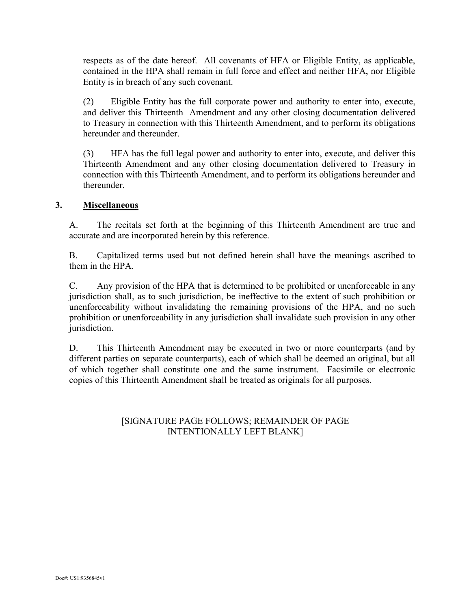respects as of the date hereof. All covenants of HFA or Eligible Entity, as applicable, contained in the HPA shall remain in full force and effect and neither HFA, nor Eligible Entity is in breach of any such covenant.

(2) Eligible Entity has the full corporate power and authority to enter into, execute, and deliver this Thirteenth Amendment and any other closing documentation delivered to Treasury in connection with this Thirteenth Amendment, and to perform its obligations hereunder and thereunder

(3) HFA has the full legal power and authority to enter into, execute, and deliver this Thirteenth Amendment and any other closing documentation delivered to Treasury in connection with this Thirteenth Amendment, and to perform its obligations hereunder and thereunder.

# **3. Miscellaneous**

A. The recitals set forth at the beginning of this Thirteenth Amendment are true and accurate and are incorporated herein by this reference.

B. Capitalized terms used but not defined herein shall have the meanings ascribed to them in the HPA.

C. Any provision of the HPA that is determined to be prohibited or unenforceable in any jurisdiction shall, as to such jurisdiction, be ineffective to the extent of such prohibition or unenforceability without invalidating the remaining provisions of the HPA, and no such prohibition or unenforceability in any jurisdiction shall invalidate such provision in any other jurisdiction.

D. This Thirteenth Amendment may be executed in two or more counterparts (and by different parties on separate counterparts), each of which shall be deemed an original, but all of which together shall constitute one and the same instrument. Facsimile or electronic copies of this Thirteenth Amendment shall be treated as originals for all purposes.

# [SIGNATURE PAGE FOLLOWS; REMAINDER OF PAGE INTENTIONALLY LEFT BLANK]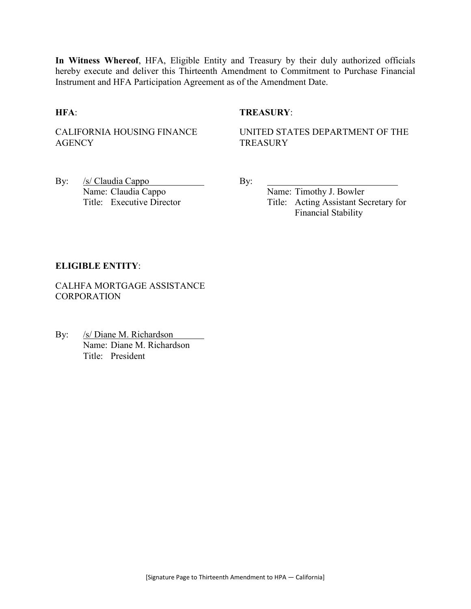**In Witness Whereof**, HFA, Eligible Entity and Treasury by their duly authorized officials hereby execute and deliver this Thirteenth Amendment to Commitment to Purchase Financial Instrument and HFA Participation Agreement as of the Amendment Date.

# **HFA**: **TREASURY**:

CALIFORNIA HOUSING FINANCE **AGENCY** 

UNITED STATES DEPARTMENT OF THE **TREASURY** 

By: /s/ Claudia Cappo By: Name: Claudia Cappo Name: Timothy J. Bowler

Title: Executive Director Title: Acting Assistant Secretary for Financial Stability

#### **ELIGIBLE ENTITY**:

CALHFA MORTGAGE ASSISTANCE **CORPORATION** 

By: /s/ Diane M. Richardson Name: Diane M. Richardson Title: President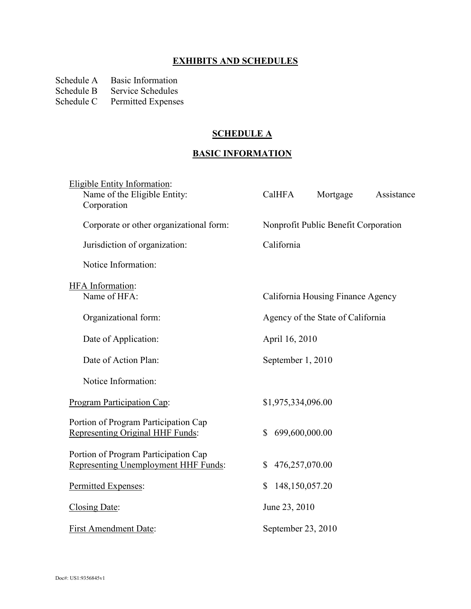# **EXHIBITS AND SCHEDULES**

Schedule A Basic Information<br>Schedule B Service Schedules

Schedule B Service Schedules<br>Schedule C Permitted Expense

Permitted Expenses

# **SCHEDULE A**

# **BASIC INFORMATION**

| Eligible Entity Information:<br>Name of the Eligible Entity:<br>Corporation  | CalHFA                         | Mortgage                             | Assistance |
|------------------------------------------------------------------------------|--------------------------------|--------------------------------------|------------|
| Corporate or other organizational form:                                      |                                | Nonprofit Public Benefit Corporation |            |
| Jurisdiction of organization:                                                | California                     |                                      |            |
| Notice Information:                                                          |                                |                                      |            |
| HFA Information:<br>Name of HFA:                                             |                                | California Housing Finance Agency    |            |
| Organizational form:                                                         |                                | Agency of the State of California    |            |
| Date of Application:                                                         | April 16, 2010                 |                                      |            |
| Date of Action Plan:                                                         | September 1, 2010              |                                      |            |
| Notice Information:                                                          |                                |                                      |            |
| Program Participation Cap:                                                   | \$1,975,334,096.00             |                                      |            |
| Portion of Program Participation Cap<br>Representing Original HHF Funds:     | 699,600,000.00<br>$\mathbb{S}$ |                                      |            |
| Portion of Program Participation Cap<br>Representing Unemployment HHF Funds: | 476,257,070.00<br>\$           |                                      |            |
| Permitted Expenses:                                                          | \$<br>148,150,057.20           |                                      |            |
| Closing Date:                                                                | June 23, 2010                  |                                      |            |
| <b>First Amendment Date:</b>                                                 | September 23, 2010             |                                      |            |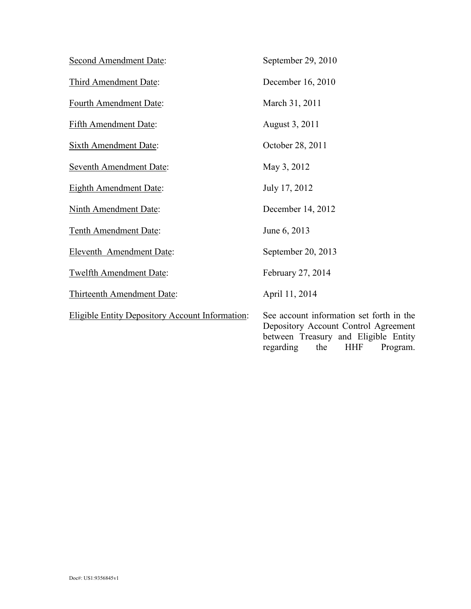| <b>Second Amendment Date:</b>                          | September 29, 2010                                                                                                                                                     |
|--------------------------------------------------------|------------------------------------------------------------------------------------------------------------------------------------------------------------------------|
| Third Amendment Date:                                  | December 16, 2010                                                                                                                                                      |
| Fourth Amendment Date:                                 | March 31, 2011                                                                                                                                                         |
| <b>Fifth Amendment Date:</b>                           | August 3, 2011                                                                                                                                                         |
| <b>Sixth Amendment Date:</b>                           | October 28, 2011                                                                                                                                                       |
| <b>Seventh Amendment Date:</b>                         | May 3, 2012                                                                                                                                                            |
| <b>Eighth Amendment Date:</b>                          | July 17, 2012                                                                                                                                                          |
| <b>Ninth Amendment Date:</b>                           | December 14, 2012                                                                                                                                                      |
| Tenth Amendment Date:                                  | June 6, 2013                                                                                                                                                           |
| Eleventh Amendment Date:                               | September 20, 2013                                                                                                                                                     |
| <b>Twelfth Amendment Date:</b>                         | February 27, 2014                                                                                                                                                      |
| Thirteenth Amendment Date:                             | April 11, 2014                                                                                                                                                         |
| <b>Eligible Entity Depository Account Information:</b> | See account information set forth in the<br>Depository Account Control Agreement<br>between Treasury and Eligible Entity<br>the<br><b>HHF</b><br>regarding<br>Program. |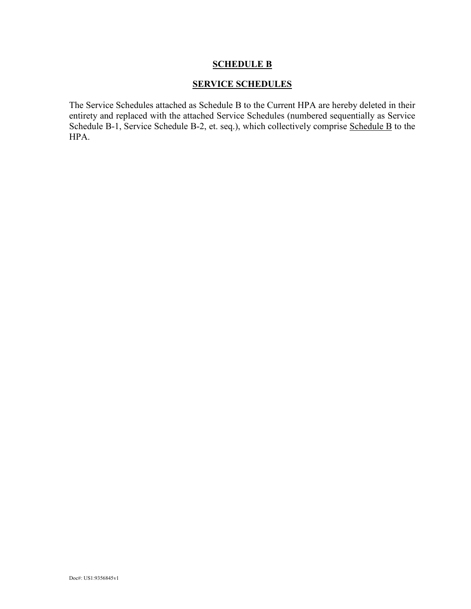# **SERVICE SCHEDULES**

The Service Schedules attached as Schedule B to the Current HPA are hereby deleted in their entirety and replaced with the attached Service Schedules (numbered sequentially as Service Schedule B-1, Service Schedule B-2, et. seq.), which collectively comprise Schedule B to the HPA.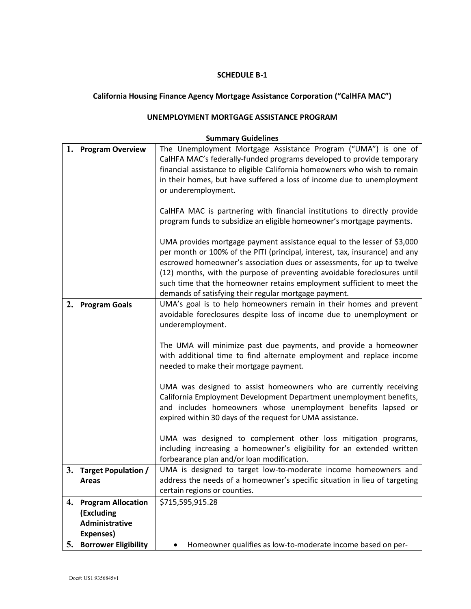# **California Housing Finance Agency Mortgage Assistance Corporation ("CalHFA MAC")**

#### **UNEMPLOYMENT MORTGAGE ASSISTANCE PROGRAM**

|    | 1. Program Overview         | The Unemployment Mortgage Assistance Program ("UMA") is one of              |
|----|-----------------------------|-----------------------------------------------------------------------------|
|    |                             | CalHFA MAC's federally-funded programs developed to provide temporary       |
|    |                             | financial assistance to eligible California homeowners who wish to remain   |
|    |                             | in their homes, but have suffered a loss of income due to unemployment      |
|    |                             | or underemployment.                                                         |
|    |                             |                                                                             |
|    |                             | CalHFA MAC is partnering with financial institutions to directly provide    |
|    |                             | program funds to subsidize an eligible homeowner's mortgage payments.       |
|    |                             | UMA provides mortgage payment assistance equal to the lesser of \$3,000     |
|    |                             | per month or 100% of the PITI (principal, interest, tax, insurance) and any |
|    |                             | escrowed homeowner's association dues or assessments, for up to twelve      |
|    |                             | (12) months, with the purpose of preventing avoidable foreclosures until    |
|    |                             | such time that the homeowner retains employment sufficient to meet the      |
|    |                             | demands of satisfying their regular mortgage payment.                       |
| 2. | <b>Program Goals</b>        | UMA's goal is to help homeowners remain in their homes and prevent          |
|    |                             | avoidable foreclosures despite loss of income due to unemployment or        |
|    |                             | underemployment.                                                            |
|    |                             |                                                                             |
|    |                             | The UMA will minimize past due payments, and provide a homeowner            |
|    |                             | with additional time to find alternate employment and replace income        |
|    |                             | needed to make their mortgage payment.                                      |
|    |                             | UMA was designed to assist homeowners who are currently receiving           |
|    |                             | California Employment Development Department unemployment benefits,         |
|    |                             | and includes homeowners whose unemployment benefits lapsed or               |
|    |                             | expired within 30 days of the request for UMA assistance.                   |
|    |                             |                                                                             |
|    |                             | UMA was designed to complement other loss mitigation programs,              |
|    |                             | including increasing a homeowner's eligibility for an extended written      |
|    |                             | forbearance plan and/or loan modification.                                  |
| 3. | <b>Target Population /</b>  | UMA is designed to target low-to-moderate income homeowners and             |
|    | <b>Areas</b>                | address the needs of a homeowner's specific situation in lieu of targeting  |
|    |                             | certain regions or counties.                                                |
| 4. | <b>Program Allocation</b>   | \$715,595,915.28                                                            |
|    | (Excluding                  |                                                                             |
|    | Administrative              |                                                                             |
|    | Expenses)                   |                                                                             |
| 5. | <b>Borrower Eligibility</b> | Homeowner qualifies as low-to-moderate income based on per-<br>$\bullet$    |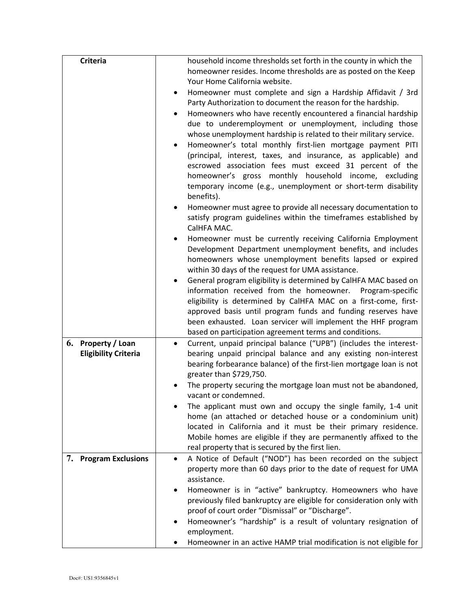| <b>Criteria</b>             | household income thresholds set forth in the county in which the                                                                  |
|-----------------------------|-----------------------------------------------------------------------------------------------------------------------------------|
|                             | homeowner resides. Income thresholds are as posted on the Keep                                                                    |
|                             | Your Home California website.                                                                                                     |
|                             | Homeowner must complete and sign a Hardship Affidavit / 3rd                                                                       |
|                             | Party Authorization to document the reason for the hardship.                                                                      |
|                             | Homeowners who have recently encountered a financial hardship                                                                     |
|                             | due to underemployment or unemployment, including those                                                                           |
|                             | whose unemployment hardship is related to their military service.                                                                 |
|                             | Homeowner's total monthly first-lien mortgage payment PITI<br>$\bullet$                                                           |
|                             | (principal, interest, taxes, and insurance, as applicable) and                                                                    |
|                             | escrowed association fees must exceed 31 percent of the                                                                           |
|                             | homeowner's gross monthly household income, excluding                                                                             |
|                             | temporary income (e.g., unemployment or short-term disability<br>benefits).                                                       |
|                             | Homeowner must agree to provide all necessary documentation to                                                                    |
|                             | satisfy program guidelines within the timeframes established by<br>CalHFA MAC.                                                    |
|                             | Homeowner must be currently receiving California Employment                                                                       |
|                             | Development Department unemployment benefits, and includes                                                                        |
|                             | homeowners whose unemployment benefits lapsed or expired                                                                          |
|                             | within 30 days of the request for UMA assistance.                                                                                 |
|                             | General program eligibility is determined by CalHFA MAC based on                                                                  |
|                             | information received from the homeowner. Program-specific                                                                         |
|                             | eligibility is determined by CalHFA MAC on a first-come, first-                                                                   |
|                             | approved basis until program funds and funding reserves have                                                                      |
|                             | been exhausted. Loan servicer will implement the HHF program                                                                      |
|                             | based on participation agreement terms and conditions.                                                                            |
| 6. Property / Loan          | Current, unpaid principal balance ("UPB") (includes the interest-<br>$\bullet$                                                    |
| <b>Eligibility Criteria</b> | bearing unpaid principal balance and any existing non-interest                                                                    |
|                             | bearing forbearance balance) of the first-lien mortgage loan is not                                                               |
|                             | greater than \$729,750.                                                                                                           |
|                             | The property securing the mortgage loan must not be abandoned,                                                                    |
|                             | vacant or condemned.                                                                                                              |
|                             | The applicant must own and occupy the single family, 1-4 unit                                                                     |
|                             | home (an attached or detached house or a condominium unit)                                                                        |
|                             | located in California and it must be their primary residence.<br>Mobile homes are eligible if they are permanently affixed to the |
|                             | real property that is secured by the first lien.                                                                                  |
| 7. Program Exclusions       | A Notice of Default ("NOD") has been recorded on the subject<br>$\bullet$                                                         |
|                             | property more than 60 days prior to the date of request for UMA                                                                   |
|                             | assistance.                                                                                                                       |
|                             | Homeowner is in "active" bankruptcy. Homeowners who have<br>$\bullet$                                                             |
|                             | previously filed bankruptcy are eligible for consideration only with                                                              |
|                             | proof of court order "Dismissal" or "Discharge".                                                                                  |
|                             | Homeowner's "hardship" is a result of voluntary resignation of<br>employment.                                                     |
|                             | Homeowner in an active HAMP trial modification is not eligible for                                                                |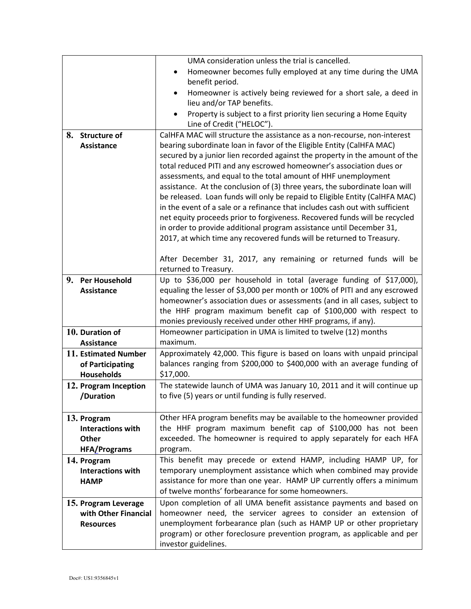|                                       | UMA consideration unless the trial is cancelled.                                                                                                           |
|---------------------------------------|------------------------------------------------------------------------------------------------------------------------------------------------------------|
|                                       | Homeowner becomes fully employed at any time during the UMA<br>$\bullet$                                                                                   |
|                                       | benefit period.                                                                                                                                            |
|                                       | Homeowner is actively being reviewed for a short sale, a deed in                                                                                           |
|                                       | lieu and/or TAP benefits.                                                                                                                                  |
|                                       | Property is subject to a first priority lien securing a Home Equity                                                                                        |
|                                       | Line of Credit ("HELOC").                                                                                                                                  |
| 8. Structure of                       | CalHFA MAC will structure the assistance as a non-recourse, non-interest                                                                                   |
| Assistance                            | bearing subordinate loan in favor of the Eligible Entity (CalHFA MAC)                                                                                      |
|                                       | secured by a junior lien recorded against the property in the amount of the                                                                                |
|                                       | total reduced PITI and any escrowed homeowner's association dues or                                                                                        |
|                                       | assessments, and equal to the total amount of HHF unemployment                                                                                             |
|                                       | assistance. At the conclusion of (3) three years, the subordinate loan will<br>be released. Loan funds will only be repaid to Eligible Entity (CalHFA MAC) |
|                                       | in the event of a sale or a refinance that includes cash out with sufficient                                                                               |
|                                       | net equity proceeds prior to forgiveness. Recovered funds will be recycled                                                                                 |
|                                       | in order to provide additional program assistance until December 31,                                                                                       |
|                                       | 2017, at which time any recovered funds will be returned to Treasury.                                                                                      |
|                                       |                                                                                                                                                            |
|                                       | After December 31, 2017, any remaining or returned funds will be                                                                                           |
|                                       | returned to Treasury.                                                                                                                                      |
| 9. Per Household                      | Up to \$36,000 per household in total (average funding of \$17,000),                                                                                       |
| <b>Assistance</b>                     | equaling the lesser of \$3,000 per month or 100% of PITI and any escrowed                                                                                  |
|                                       | homeowner's association dues or assessments (and in all cases, subject to                                                                                  |
|                                       | the HHF program maximum benefit cap of \$100,000 with respect to                                                                                           |
|                                       | monies previously received under other HHF programs, if any).                                                                                              |
| 10. Duration of                       | Homeowner participation in UMA is limited to twelve (12) months                                                                                            |
| Assistance                            | maximum.                                                                                                                                                   |
| 11. Estimated Number                  | Approximately 42,000. This figure is based on loans with unpaid principal                                                                                  |
| of Participating<br><b>Households</b> | balances ranging from \$200,000 to \$400,000 with an average funding of<br>\$17,000.                                                                       |
|                                       | The statewide launch of UMA was January 10, 2011 and it will continue up                                                                                   |
| 12. Program Inception<br>/Duration    | to five (5) years or until funding is fully reserved.                                                                                                      |
|                                       |                                                                                                                                                            |
| 13. Program                           | Other HFA program benefits may be available to the homeowner provided                                                                                      |
| <b>Interactions with</b>              | the HHF program maximum benefit cap of \$100,000 has not been                                                                                              |
| <b>Other</b>                          | exceeded. The homeowner is required to apply separately for each HFA                                                                                       |
| <b>HFA/Programs</b>                   | program.                                                                                                                                                   |
| 14. Program                           | This benefit may precede or extend HAMP, including HAMP UP, for                                                                                            |
| <b>Interactions with</b>              | temporary unemployment assistance which when combined may provide                                                                                          |
| <b>HAMP</b>                           | assistance for more than one year. HAMP UP currently offers a minimum                                                                                      |
|                                       | of twelve months' forbearance for some homeowners.                                                                                                         |
| 15. Program Leverage                  | Upon completion of all UMA benefit assistance payments and based on                                                                                        |
| with Other Financial                  | homeowner need, the servicer agrees to consider an extension of                                                                                            |
| <b>Resources</b>                      | unemployment forbearance plan (such as HAMP UP or other proprietary                                                                                        |
|                                       | program) or other foreclosure prevention program, as applicable and per                                                                                    |
|                                       | investor guidelines.                                                                                                                                       |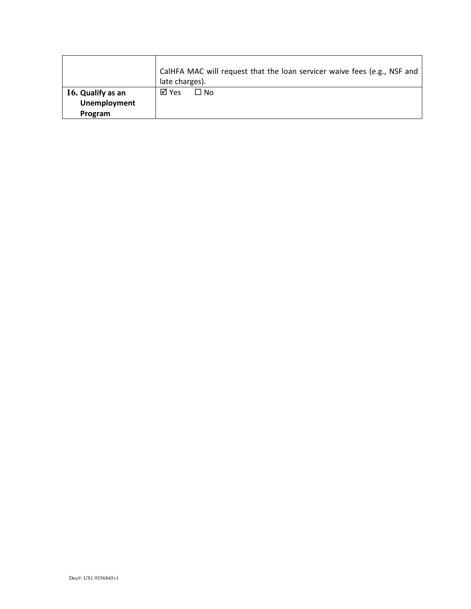|                                          | CalHFA MAC will request that the loan servicer waive fees (e.g., NSF and<br>late charges). |  |
|------------------------------------------|--------------------------------------------------------------------------------------------|--|
| 16. Qualify as an<br><b>Unemployment</b> | ⊠ Yes<br>□ No                                                                              |  |
| Program                                  |                                                                                            |  |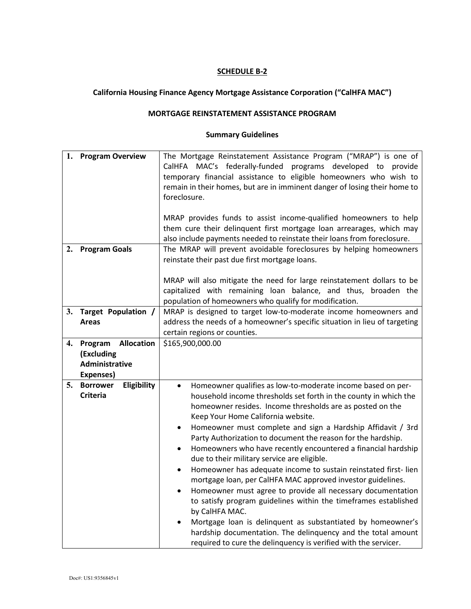# **California Housing Finance Agency Mortgage Assistance Corporation ("CalHFA MAC")**

#### **MORTGAGE REINSTATEMENT ASSISTANCE PROGRAM**

| 1. | <b>Program Overview</b>        | The Mortgage Reinstatement Assistance Program ("MRAP") is one of            |
|----|--------------------------------|-----------------------------------------------------------------------------|
|    |                                | CalHFA MAC's federally-funded programs developed to provide                 |
|    |                                | temporary financial assistance to eligible homeowners who wish to           |
|    |                                | remain in their homes, but are in imminent danger of losing their home to   |
|    |                                | foreclosure.                                                                |
|    |                                |                                                                             |
|    |                                | MRAP provides funds to assist income-qualified homeowners to help           |
|    |                                | them cure their delinquent first mortgage loan arrearages, which may        |
|    |                                | also include payments needed to reinstate their loans from foreclosure.     |
| 2. | <b>Program Goals</b>           | The MRAP will prevent avoidable foreclosures by helping homeowners          |
|    |                                |                                                                             |
|    |                                | reinstate their past due first mortgage loans.                              |
|    |                                |                                                                             |
|    |                                | MRAP will also mitigate the need for large reinstatement dollars to be      |
|    |                                | capitalized with remaining loan balance, and thus, broaden the              |
|    |                                | population of homeowners who qualify for modification.                      |
|    | 3. Target Population /         | MRAP is designed to target low-to-moderate income homeowners and            |
|    | <b>Areas</b>                   | address the needs of a homeowner's specific situation in lieu of targeting  |
|    |                                | certain regions or counties.                                                |
| 4. | <b>Program Allocation</b>      | \$165,900,000.00                                                            |
|    | (Excluding                     |                                                                             |
|    | Administrative                 |                                                                             |
|    | Expenses)                      |                                                                             |
| 5. | Eligibility<br><b>Borrower</b> | Homeowner qualifies as low-to-moderate income based on per-<br>$\bullet$    |
|    | <b>Criteria</b>                | household income thresholds set forth in the county in which the            |
|    |                                | homeowner resides. Income thresholds are as posted on the                   |
|    |                                | Keep Your Home California website.                                          |
|    |                                | Homeowner must complete and sign a Hardship Affidavit / 3rd<br>٠            |
|    |                                | Party Authorization to document the reason for the hardship.                |
|    |                                | Homeowners who have recently encountered a financial hardship<br>$\bullet$  |
|    |                                | due to their military service are eligible.                                 |
|    |                                | Homeowner has adequate income to sustain reinstated first-lien<br>$\bullet$ |
|    |                                | mortgage loan, per CalHFA MAC approved investor guidelines.                 |
|    |                                | Homeowner must agree to provide all necessary documentation<br>$\bullet$    |
|    |                                | to satisfy program guidelines within the timeframes established             |
|    |                                | by CalHFA MAC.                                                              |
|    |                                | Mortgage loan is delinquent as substantiated by homeowner's                 |
|    |                                | hardship documentation. The delinquency and the total amount                |
|    |                                | required to cure the delinquency is verified with the servicer.             |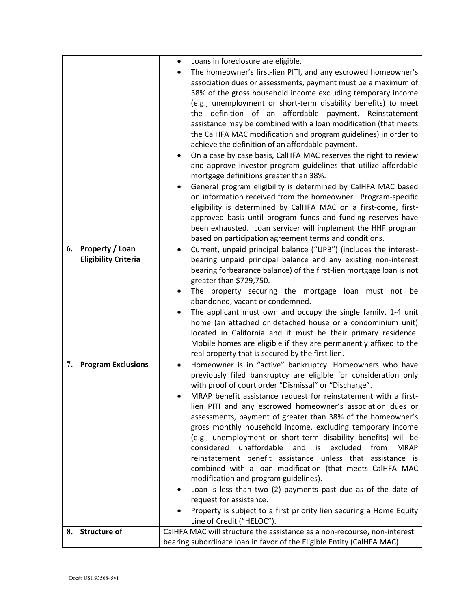|                                 | Loans in foreclosure are eligible.<br>٠                                                                              |
|---------------------------------|----------------------------------------------------------------------------------------------------------------------|
|                                 | The homeowner's first-lien PITI, and any escrowed homeowner's                                                        |
|                                 | association dues or assessments, payment must be a maximum of                                                        |
|                                 | 38% of the gross household income excluding temporary income                                                         |
|                                 | (e.g., unemployment or short-term disability benefits) to meet                                                       |
|                                 | definition of an affordable payment. Reinstatement<br>the                                                            |
|                                 | assistance may be combined with a loan modification (that meets                                                      |
|                                 | the CalHFA MAC modification and program guidelines) in order to                                                      |
|                                 | achieve the definition of an affordable payment.                                                                     |
|                                 | On a case by case basis, CalHFA MAC reserves the right to review                                                     |
|                                 | and approve investor program guidelines that utilize affordable                                                      |
|                                 | mortgage definitions greater than 38%.                                                                               |
|                                 | General program eligibility is determined by CalHFA MAC based                                                        |
|                                 | on information received from the homeowner. Program-specific                                                         |
|                                 | eligibility is determined by CalHFA MAC on a first-come, first-                                                      |
|                                 | approved basis until program funds and funding reserves have                                                         |
|                                 | been exhausted. Loan servicer will implement the HHF program                                                         |
|                                 | based on participation agreement terms and conditions.                                                               |
| <b>Property / Loan</b><br>6.    | Current, unpaid principal balance ("UPB") (includes the interest-                                                    |
| <b>Eligibility Criteria</b>     | bearing unpaid principal balance and any existing non-interest                                                       |
|                                 | bearing forbearance balance) of the first-lien mortgage loan is not                                                  |
|                                 | greater than \$729,750.                                                                                              |
|                                 | The property securing the mortgage loan must not be                                                                  |
|                                 | abandoned, vacant or condemned.                                                                                      |
|                                 | The applicant must own and occupy the single family, 1-4 unit                                                        |
|                                 | home (an attached or detached house or a condominium unit)                                                           |
|                                 | located in California and it must be their primary residence.                                                        |
|                                 | Mobile homes are eligible if they are permanently affixed to the<br>real property that is secured by the first lien. |
| <b>Program Exclusions</b><br>7. | Homeowner is in "active" bankruptcy. Homeowners who have<br>$\bullet$                                                |
|                                 | previously filed bankruptcy are eligible for consideration only                                                      |
|                                 | with proof of court order "Dismissal" or "Discharge".                                                                |
|                                 | MRAP benefit assistance request for reinstatement with a first-                                                      |
|                                 | lien PITI and any escrowed homeowner's association dues or                                                           |
|                                 | assessments, payment of greater than 38% of the homeowner's                                                          |
|                                 | gross monthly household income, excluding temporary income                                                           |
|                                 | (e.g., unemployment or short-term disability benefits) will be                                                       |
|                                 | unaffordable<br>excluded<br>considered<br>and<br>is<br>from<br><b>MRAP</b>                                           |
|                                 | reinstatement benefit assistance unless that assistance is                                                           |
|                                 | combined with a loan modification (that meets CalHFA MAC                                                             |
|                                 | modification and program guidelines).                                                                                |
|                                 | Loan is less than two (2) payments past due as of the date of                                                        |
|                                 | request for assistance.                                                                                              |
|                                 | Property is subject to a first priority lien securing a Home Equity                                                  |
|                                 | Line of Credit ("HELOC").                                                                                            |
| 8.<br><b>Structure of</b>       | CalHFA MAC will structure the assistance as a non-recourse, non-interest                                             |
|                                 | bearing subordinate loan in favor of the Eligible Entity (CalHFA MAC)                                                |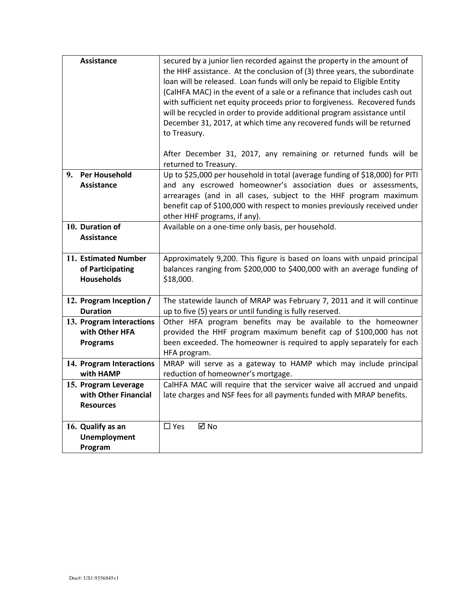|    | Assistance                                                       | secured by a junior lien recorded against the property in the amount of<br>the HHF assistance. At the conclusion of (3) three years, the subordinate<br>loan will be released. Loan funds will only be repaid to Eligible Entity<br>(CalHFA MAC) in the event of a sale or a refinance that includes cash out<br>with sufficient net equity proceeds prior to forgiveness. Recovered funds<br>will be recycled in order to provide additional program assistance until<br>December 31, 2017, at which time any recovered funds will be returned<br>to Treasury.<br>After December 31, 2017, any remaining or returned funds will be |
|----|------------------------------------------------------------------|-------------------------------------------------------------------------------------------------------------------------------------------------------------------------------------------------------------------------------------------------------------------------------------------------------------------------------------------------------------------------------------------------------------------------------------------------------------------------------------------------------------------------------------------------------------------------------------------------------------------------------------|
|    |                                                                  | returned to Treasury.                                                                                                                                                                                                                                                                                                                                                                                                                                                                                                                                                                                                               |
| 9. | <b>Per Household</b><br><b>Assistance</b>                        | Up to \$25,000 per household in total (average funding of \$18,000) for PITI<br>and any escrowed homeowner's association dues or assessments,<br>arrearages (and in all cases, subject to the HHF program maximum<br>benefit cap of \$100,000 with respect to monies previously received under<br>other HHF programs, if any).                                                                                                                                                                                                                                                                                                      |
|    | 10. Duration of<br><b>Assistance</b>                             | Available on a one-time only basis, per household.                                                                                                                                                                                                                                                                                                                                                                                                                                                                                                                                                                                  |
|    | 11. Estimated Number<br>of Participating<br><b>Households</b>    | Approximately 9,200. This figure is based on loans with unpaid principal<br>balances ranging from \$200,000 to \$400,000 with an average funding of<br>\$18,000.                                                                                                                                                                                                                                                                                                                                                                                                                                                                    |
|    | 12. Program Inception /<br><b>Duration</b>                       | The statewide launch of MRAP was February 7, 2011 and it will continue<br>up to five (5) years or until funding is fully reserved.                                                                                                                                                                                                                                                                                                                                                                                                                                                                                                  |
|    | 13. Program Interactions<br>with Other HFA<br><b>Programs</b>    | Other HFA program benefits may be available to the homeowner<br>provided the HHF program maximum benefit cap of \$100,000 has not<br>been exceeded. The homeowner is required to apply separately for each<br>HFA program.                                                                                                                                                                                                                                                                                                                                                                                                          |
|    | 14. Program Interactions<br>with HAMP                            | MRAP will serve as a gateway to HAMP which may include principal<br>reduction of homeowner's mortgage.                                                                                                                                                                                                                                                                                                                                                                                                                                                                                                                              |
|    | 15. Program Leverage<br>with Other Financial<br><b>Resources</b> | CalHFA MAC will require that the servicer waive all accrued and unpaid<br>late charges and NSF fees for all payments funded with MRAP benefits.                                                                                                                                                                                                                                                                                                                                                                                                                                                                                     |
|    | 16. Qualify as an<br><b>Unemployment</b><br>Program              | $\boxtimes$ No<br>$\Box$ Yes                                                                                                                                                                                                                                                                                                                                                                                                                                                                                                                                                                                                        |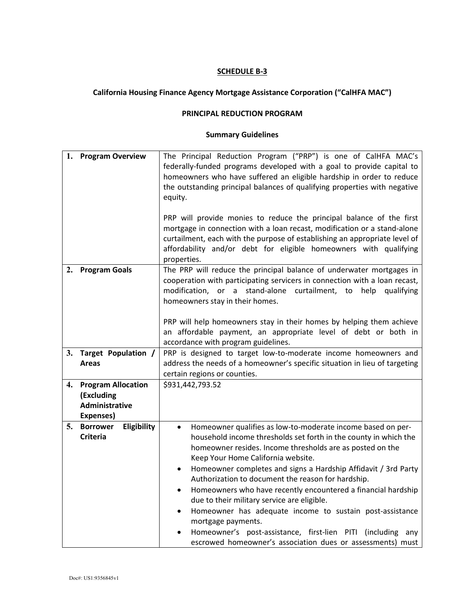# **California Housing Finance Agency Mortgage Assistance Corporation ("CalHFA MAC")**

#### **PRINCIPAL REDUCTION PROGRAM**

| 1. | <b>Program Overview</b>        | The Principal Reduction Program ("PRP") is one of CalHFA MAC's             |  |
|----|--------------------------------|----------------------------------------------------------------------------|--|
|    |                                | federally-funded programs developed with a goal to provide capital to      |  |
|    |                                | homeowners who have suffered an eligible hardship in order to reduce       |  |
|    |                                | the outstanding principal balances of qualifying properties with negative  |  |
|    |                                | equity.                                                                    |  |
|    |                                |                                                                            |  |
|    |                                | PRP will provide monies to reduce the principal balance of the first       |  |
|    |                                | mortgage in connection with a loan recast, modification or a stand-alone   |  |
|    |                                | curtailment, each with the purpose of establishing an appropriate level of |  |
|    |                                | affordability and/or debt for eligible homeowners with qualifying          |  |
|    |                                | properties.                                                                |  |
| 2. | <b>Program Goals</b>           | The PRP will reduce the principal balance of underwater mortgages in       |  |
|    |                                | cooperation with participating servicers in connection with a loan recast, |  |
|    |                                | modification, or a stand-alone curtailment, to help<br>qualifying          |  |
|    |                                | homeowners stay in their homes.                                            |  |
|    |                                |                                                                            |  |
|    |                                | PRP will help homeowners stay in their homes by helping them achieve       |  |
|    |                                | an affordable payment, an appropriate level of debt or both in             |  |
|    |                                | accordance with program guidelines.                                        |  |
| 3. | Target Population /            | PRP is designed to target low-to-moderate income homeowners and            |  |
|    | <b>Areas</b>                   | address the needs of a homeowner's specific situation in lieu of targeting |  |
|    |                                | certain regions or counties.                                               |  |
| 4. | <b>Program Allocation</b>      | \$931,442,793.52                                                           |  |
|    | (Excluding                     |                                                                            |  |
|    | Administrative                 |                                                                            |  |
|    | Expenses)                      |                                                                            |  |
| 5. | <b>Borrower</b><br>Eligibility | Homeowner qualifies as low-to-moderate income based on per-<br>$\bullet$   |  |
|    | <b>Criteria</b>                | household income thresholds set forth in the county in which the           |  |
|    |                                | homeowner resides. Income thresholds are as posted on the                  |  |
|    |                                | Keep Your Home California website.                                         |  |
|    |                                | Homeowner completes and signs a Hardship Affidavit / 3rd Party             |  |
|    |                                | Authorization to document the reason for hardship.                         |  |
|    |                                | Homeowners who have recently encountered a financial hardship              |  |
|    |                                | due to their military service are eligible.                                |  |
|    |                                | Homeowner has adequate income to sustain post-assistance<br>٠              |  |
|    |                                | mortgage payments.                                                         |  |
|    |                                | Homeowner's post-assistance, first-lien PITI (including any                |  |
|    |                                | escrowed homeowner's association dues or assessments) must                 |  |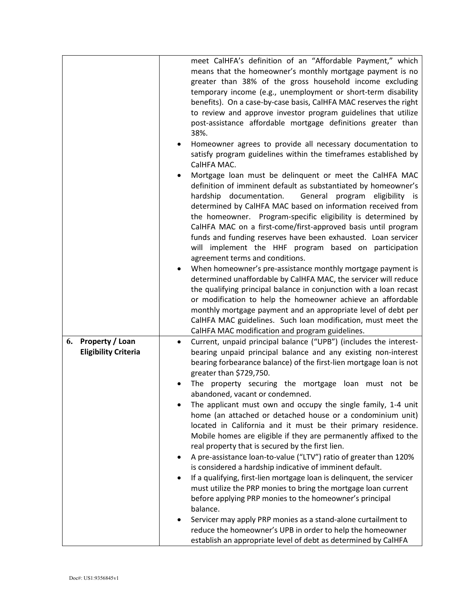|                             | meet CalHFA's definition of an "Affordable Payment," which<br>means that the homeowner's monthly mortgage payment is no                      |
|-----------------------------|----------------------------------------------------------------------------------------------------------------------------------------------|
|                             | greater than 38% of the gross household income excluding                                                                                     |
|                             | temporary income (e.g., unemployment or short-term disability<br>benefits). On a case-by-case basis, CalHFA MAC reserves the right           |
|                             | to review and approve investor program guidelines that utilize                                                                               |
|                             | post-assistance affordable mortgage definitions greater than                                                                                 |
|                             | 38%.                                                                                                                                         |
|                             | Homeowner agrees to provide all necessary documentation to<br>satisfy program guidelines within the timeframes established by<br>CalHFA MAC. |
|                             | Mortgage loan must be delinquent or meet the CalHFA MAC<br>definition of imminent default as substantiated by homeowner's                    |
|                             | hardship documentation.<br>General program eligibility is<br>determined by CalHFA MAC based on information received from                     |
|                             | the homeowner. Program-specific eligibility is determined by                                                                                 |
|                             | CalHFA MAC on a first-come/first-approved basis until program                                                                                |
|                             | funds and funding reserves have been exhausted. Loan servicer<br>will implement the HHF program based on participation                       |
|                             | agreement terms and conditions.                                                                                                              |
|                             | When homeowner's pre-assistance monthly mortgage payment is                                                                                  |
|                             | determined unaffordable by CalHFA MAC, the servicer will reduce                                                                              |
|                             | the qualifying principal balance in conjunction with a loan recast                                                                           |
|                             | or modification to help the homeowner achieve an affordable<br>monthly mortgage payment and an appropriate level of debt per                 |
|                             | CalHFA MAC guidelines. Such loan modification, must meet the                                                                                 |
|                             | CalHFA MAC modification and program guidelines.                                                                                              |
| Property / Loan<br>6.       | Current, unpaid principal balance ("UPB") (includes the interest-<br>٠                                                                       |
| <b>Eligibility Criteria</b> | bearing unpaid principal balance and any existing non-interest<br>bearing forbearance balance) of the first-lien mortgage loan is not        |
|                             | greater than \$729,750.<br>The property securing the mortgage<br>loan must not be                                                            |
|                             | abandoned, vacant or condemned.                                                                                                              |
|                             | The applicant must own and occupy the single family, 1-4 unit<br>home (an attached or detached house or a condominium unit)                  |
|                             | located in California and it must be their primary residence.                                                                                |
|                             | Mobile homes are eligible if they are permanently affixed to the                                                                             |
|                             | real property that is secured by the first lien.                                                                                             |
|                             | A pre-assistance loan-to-value ("LTV") ratio of greater than 120%<br>is considered a hardship indicative of imminent default.                |
|                             | If a qualifying, first-lien mortgage loan is delinquent, the servicer                                                                        |
|                             | must utilize the PRP monies to bring the mortgage loan current                                                                               |
|                             | before applying PRP monies to the homeowner's principal                                                                                      |
|                             | balance.                                                                                                                                     |
|                             | Servicer may apply PRP monies as a stand-alone curtailment to<br>reduce the homeowner's UPB in order to help the homeowner                   |
|                             | establish an appropriate level of debt as determined by CalHFA                                                                               |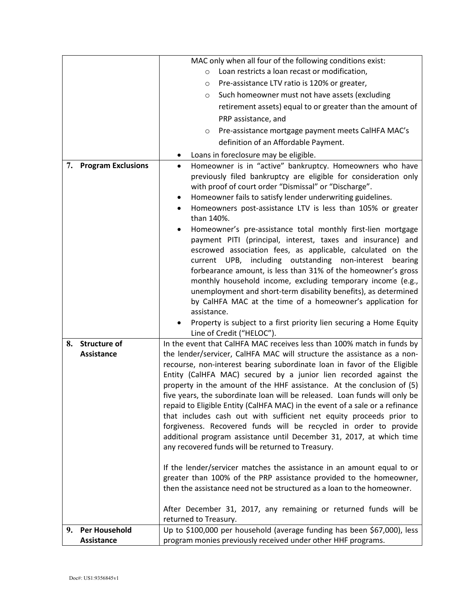|    |                           | MAC only when all four of the following conditions exist:                                                                                   |
|----|---------------------------|---------------------------------------------------------------------------------------------------------------------------------------------|
|    |                           | Loan restricts a loan recast or modification,<br>$\circ$                                                                                    |
|    |                           | Pre-assistance LTV ratio is 120% or greater,<br>$\circ$                                                                                     |
|    |                           | Such homeowner must not have assets (excluding<br>$\circ$                                                                                   |
|    |                           | retirement assets) equal to or greater than the amount of                                                                                   |
|    |                           | PRP assistance, and                                                                                                                         |
|    |                           | Pre-assistance mortgage payment meets CalHFA MAC's<br>$\circ$                                                                               |
|    |                           | definition of an Affordable Payment.                                                                                                        |
|    |                           | Loans in foreclosure may be eligible.                                                                                                       |
| 7. | <b>Program Exclusions</b> | Homeowner is in "active" bankruptcy. Homeowners who have<br>$\bullet$                                                                       |
|    |                           | previously filed bankruptcy are eligible for consideration only                                                                             |
|    |                           | with proof of court order "Dismissal" or "Discharge".                                                                                       |
|    |                           | Homeowner fails to satisfy lender underwriting guidelines.                                                                                  |
|    |                           | Homeowners post-assistance LTV is less than 105% or greater<br>than 140%.                                                                   |
|    |                           | Homeowner's pre-assistance total monthly first-lien mortgage                                                                                |
|    |                           | payment PITI (principal, interest, taxes and insurance) and                                                                                 |
|    |                           | escrowed association fees, as applicable, calculated on the                                                                                 |
|    |                           | current UPB, including outstanding non-interest<br>bearing                                                                                  |
|    |                           | forbearance amount, is less than 31% of the homeowner's gross                                                                               |
|    |                           | monthly household income, excluding temporary income (e.g.,                                                                                 |
|    |                           | unemployment and short-term disability benefits), as determined<br>by CalHFA MAC at the time of a homeowner's application for               |
|    |                           | assistance.                                                                                                                                 |
|    |                           | Property is subject to a first priority lien securing a Home Equity                                                                         |
|    |                           | Line of Credit ("HELOC").                                                                                                                   |
| 8. | <b>Structure of</b>       | In the event that CalHFA MAC receives less than 100% match in funds by                                                                      |
|    | <b>Assistance</b>         | the lender/servicer, CalHFA MAC will structure the assistance as a non-                                                                     |
|    |                           | recourse, non-interest bearing subordinate loan in favor of the Eligible                                                                    |
|    |                           | Entity (CalHFA MAC) secured by a junior lien recorded against the<br>property in the amount of the HHF assistance. At the conclusion of (5) |
|    |                           | five years, the subordinate loan will be released. Loan funds will only be                                                                  |
|    |                           | repaid to Eligible Entity (CalHFA MAC) in the event of a sale or a refinance                                                                |
|    |                           | that includes cash out with sufficient net equity proceeds prior to                                                                         |
|    |                           | forgiveness. Recovered funds will be recycled in order to provide                                                                           |
|    |                           | additional program assistance until December 31, 2017, at which time                                                                        |
|    |                           | any recovered funds will be returned to Treasury.                                                                                           |
|    |                           | If the lender/servicer matches the assistance in an amount equal to or                                                                      |
|    |                           | greater than 100% of the PRP assistance provided to the homeowner,                                                                          |
|    |                           | then the assistance need not be structured as a loan to the homeowner.                                                                      |
|    |                           |                                                                                                                                             |
|    |                           | After December 31, 2017, any remaining or returned funds will be                                                                            |
|    |                           | returned to Treasury.                                                                                                                       |
| 9. | Per Household             | Up to \$100,000 per household (average funding has been \$67,000), less                                                                     |
|    | Assistance                | program monies previously received under other HHF programs.                                                                                |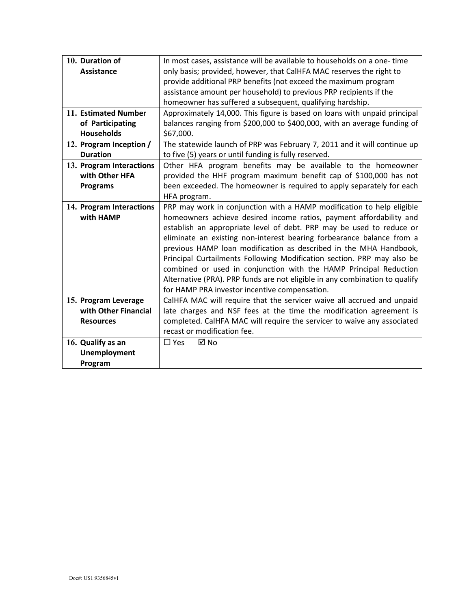| 10. Duration of          | In most cases, assistance will be available to households on a one-time     |  |  |  |
|--------------------------|-----------------------------------------------------------------------------|--|--|--|
| <b>Assistance</b>        | only basis; provided, however, that CalHFA MAC reserves the right to        |  |  |  |
|                          | provide additional PRP benefits (not exceed the maximum program             |  |  |  |
|                          | assistance amount per household) to previous PRP recipients if the          |  |  |  |
|                          | homeowner has suffered a subsequent, qualifying hardship.                   |  |  |  |
| 11. Estimated Number     | Approximately 14,000. This figure is based on loans with unpaid principal   |  |  |  |
| of Participating         | balances ranging from \$200,000 to \$400,000, with an average funding of    |  |  |  |
| <b>Households</b>        | \$67,000.                                                                   |  |  |  |
| 12. Program Inception /  | The statewide launch of PRP was February 7, 2011 and it will continue up    |  |  |  |
| <b>Duration</b>          | to five (5) years or until funding is fully reserved.                       |  |  |  |
| 13. Program Interactions | Other HFA program benefits may be available to the homeowner                |  |  |  |
| with Other HFA           | provided the HHF program maximum benefit cap of \$100,000 has not           |  |  |  |
| <b>Programs</b>          | been exceeded. The homeowner is required to apply separately for each       |  |  |  |
|                          | HFA program.                                                                |  |  |  |
| 14. Program Interactions | PRP may work in conjunction with a HAMP modification to help eligible       |  |  |  |
| with HAMP                | homeowners achieve desired income ratios, payment affordability and         |  |  |  |
|                          | establish an appropriate level of debt. PRP may be used to reduce or        |  |  |  |
|                          | eliminate an existing non-interest bearing forbearance balance from a       |  |  |  |
|                          | previous HAMP loan modification as described in the MHA Handbook,           |  |  |  |
|                          | Principal Curtailments Following Modification section. PRP may also be      |  |  |  |
|                          | combined or used in conjunction with the HAMP Principal Reduction           |  |  |  |
|                          | Alternative (PRA). PRP funds are not eligible in any combination to qualify |  |  |  |
|                          | for HAMP PRA investor incentive compensation.                               |  |  |  |
| 15. Program Leverage     | CalHFA MAC will require that the servicer waive all accrued and unpaid      |  |  |  |
| with Other Financial     | late charges and NSF fees at the time the modification agreement is         |  |  |  |
| <b>Resources</b>         | completed. CalHFA MAC will require the servicer to waive any associated     |  |  |  |
|                          | recast or modification fee.                                                 |  |  |  |
| 16. Qualify as an        | ⊠ No<br>$\Box$ Yes                                                          |  |  |  |
| Unemployment             |                                                                             |  |  |  |
| Program                  |                                                                             |  |  |  |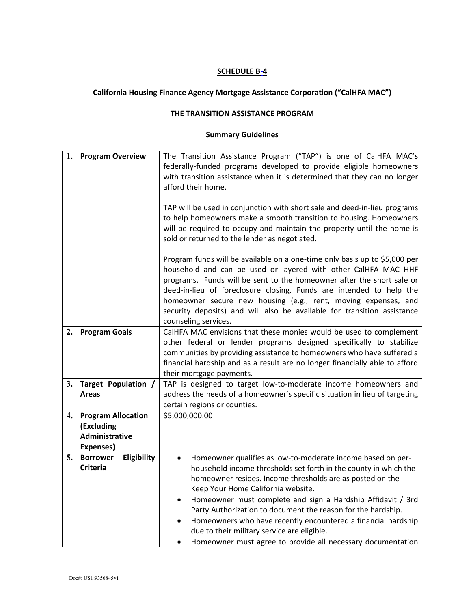# **California Housing Finance Agency Mortgage Assistance Corporation ("CalHFA MAC")**

#### **THE TRANSITION ASSISTANCE PROGRAM**

| 1. | <b>Program Overview</b>                                                | The Transition Assistance Program ("TAP") is one of CalHFA MAC's<br>federally-funded programs developed to provide eligible homeowners<br>with transition assistance when it is determined that they can no longer<br>afford their home.                                                                                                                                                                                                                                                                                                                      |  |  |  |  |  |  |  |
|----|------------------------------------------------------------------------|---------------------------------------------------------------------------------------------------------------------------------------------------------------------------------------------------------------------------------------------------------------------------------------------------------------------------------------------------------------------------------------------------------------------------------------------------------------------------------------------------------------------------------------------------------------|--|--|--|--|--|--|--|
|    |                                                                        | TAP will be used in conjunction with short sale and deed-in-lieu programs<br>to help homeowners make a smooth transition to housing. Homeowners<br>will be required to occupy and maintain the property until the home is<br>sold or returned to the lender as negotiated.                                                                                                                                                                                                                                                                                    |  |  |  |  |  |  |  |
|    |                                                                        | Program funds will be available on a one-time only basis up to \$5,000 per<br>household and can be used or layered with other CalHFA MAC HHF<br>programs. Funds will be sent to the homeowner after the short sale or<br>deed-in-lieu of foreclosure closing. Funds are intended to help the<br>homeowner secure new housing (e.g., rent, moving expenses, and<br>security deposits) and will also be available for transition assistance<br>counseling services.                                                                                             |  |  |  |  |  |  |  |
| 2. | <b>Program Goals</b>                                                   | CalHFA MAC envisions that these monies would be used to complement<br>other federal or lender programs designed specifically to stabilize<br>communities by providing assistance to homeowners who have suffered a<br>financial hardship and as a result are no longer financially able to afford<br>their mortgage payments.                                                                                                                                                                                                                                 |  |  |  |  |  |  |  |
| 3. | Target Population /<br><b>Areas</b>                                    | TAP is designed to target low-to-moderate income homeowners and<br>address the needs of a homeowner's specific situation in lieu of targeting<br>certain regions or counties.                                                                                                                                                                                                                                                                                                                                                                                 |  |  |  |  |  |  |  |
| 4. | <b>Program Allocation</b><br>(Excluding<br>Administrative<br>Expenses) | \$5,000,000.00                                                                                                                                                                                                                                                                                                                                                                                                                                                                                                                                                |  |  |  |  |  |  |  |
| 5. | <b>Borrower</b><br>Eligibility<br><b>Criteria</b>                      | Homeowner qualifies as low-to-moderate income based on per-<br>$\bullet$<br>household income thresholds set forth in the county in which the<br>homeowner resides. Income thresholds are as posted on the<br>Keep Your Home California website.<br>Homeowner must complete and sign a Hardship Affidavit / 3rd<br>Party Authorization to document the reason for the hardship.<br>Homeowners who have recently encountered a financial hardship<br>due to their military service are eligible.<br>Homeowner must agree to provide all necessary documentation |  |  |  |  |  |  |  |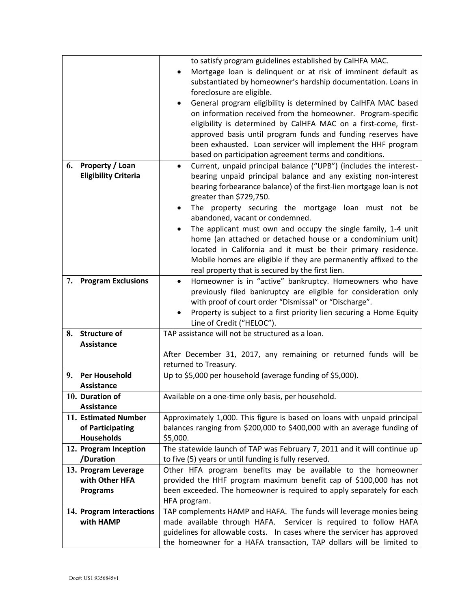|    |                                           | to satisfy program guidelines established by CalHFA MAC.                                                                          |  |  |  |  |  |
|----|-------------------------------------------|-----------------------------------------------------------------------------------------------------------------------------------|--|--|--|--|--|
|    |                                           | Mortgage loan is delinquent or at risk of imminent default as<br>$\bullet$                                                        |  |  |  |  |  |
|    |                                           | substantiated by homeowner's hardship documentation. Loans in                                                                     |  |  |  |  |  |
|    |                                           | foreclosure are eligible.                                                                                                         |  |  |  |  |  |
|    |                                           | General program eligibility is determined by CalHFA MAC based                                                                     |  |  |  |  |  |
|    |                                           | on information received from the homeowner. Program-specific                                                                      |  |  |  |  |  |
|    |                                           | eligibility is determined by CalHFA MAC on a first-come, first-                                                                   |  |  |  |  |  |
|    |                                           | approved basis until program funds and funding reserves have                                                                      |  |  |  |  |  |
|    |                                           | been exhausted. Loan servicer will implement the HHF program                                                                      |  |  |  |  |  |
|    |                                           | based on participation agreement terms and conditions.                                                                            |  |  |  |  |  |
| 6. | Property / Loan                           | Current, unpaid principal balance ("UPB") (includes the interest-                                                                 |  |  |  |  |  |
|    | <b>Eligibility Criteria</b>               | bearing unpaid principal balance and any existing non-interest                                                                    |  |  |  |  |  |
|    |                                           | bearing forbearance balance) of the first-lien mortgage loan is not                                                               |  |  |  |  |  |
|    |                                           | greater than \$729,750.                                                                                                           |  |  |  |  |  |
|    |                                           | The property securing the mortgage loan must not be                                                                               |  |  |  |  |  |
|    |                                           | abandoned, vacant or condemned.                                                                                                   |  |  |  |  |  |
|    |                                           | The applicant must own and occupy the single family, 1-4 unit                                                                     |  |  |  |  |  |
|    |                                           | home (an attached or detached house or a condominium unit)                                                                        |  |  |  |  |  |
|    |                                           | located in California and it must be their primary residence.                                                                     |  |  |  |  |  |
|    |                                           | Mobile homes are eligible if they are permanently affixed to the                                                                  |  |  |  |  |  |
|    |                                           | real property that is secured by the first lien.                                                                                  |  |  |  |  |  |
| 7. | <b>Program Exclusions</b>                 | Homeowner is in "active" bankruptcy. Homeowners who have                                                                          |  |  |  |  |  |
|    |                                           | previously filed bankruptcy are eligible for consideration only                                                                   |  |  |  |  |  |
|    |                                           | with proof of court order "Dismissal" or "Discharge".                                                                             |  |  |  |  |  |
|    |                                           | Property is subject to a first priority lien securing a Home Equity                                                               |  |  |  |  |  |
|    |                                           | Line of Credit ("HELOC").                                                                                                         |  |  |  |  |  |
| 8. | <b>Structure of</b>                       | TAP assistance will not be structured as a loan.                                                                                  |  |  |  |  |  |
|    | <b>Assistance</b>                         |                                                                                                                                   |  |  |  |  |  |
|    |                                           | After December 31, 2017, any remaining or returned funds will be                                                                  |  |  |  |  |  |
|    |                                           | returned to Treasury.                                                                                                             |  |  |  |  |  |
| 9. | <b>Per Household</b>                      | Up to \$5,000 per household (average funding of \$5,000).                                                                         |  |  |  |  |  |
|    | <b>Assistance</b>                         |                                                                                                                                   |  |  |  |  |  |
|    | 10. Duration of                           | Available on a one-time only basis, per household.                                                                                |  |  |  |  |  |
|    | <b>Assistance</b><br>11. Estimated Number |                                                                                                                                   |  |  |  |  |  |
|    | of Participating                          | Approximately 1,000. This figure is based on loans with unpaid principal                                                          |  |  |  |  |  |
|    | <b>Households</b>                         | balances ranging from \$200,000 to \$400,000 with an average funding of                                                           |  |  |  |  |  |
|    | 12. Program Inception                     | \$5,000.                                                                                                                          |  |  |  |  |  |
|    | /Duration                                 | The statewide launch of TAP was February 7, 2011 and it will continue up<br>to five (5) years or until funding is fully reserved. |  |  |  |  |  |
|    | 13. Program Leverage                      | Other HFA program benefits may be available to the homeowner                                                                      |  |  |  |  |  |
|    | with Other HFA                            | provided the HHF program maximum benefit cap of \$100,000 has not                                                                 |  |  |  |  |  |
|    | <b>Programs</b>                           | been exceeded. The homeowner is required to apply separately for each                                                             |  |  |  |  |  |
|    |                                           | HFA program.                                                                                                                      |  |  |  |  |  |
|    | 14. Program Interactions                  | TAP complements HAMP and HAFA. The funds will leverage monies being                                                               |  |  |  |  |  |
|    | with HAMP                                 | made available through HAFA. Servicer is required to follow HAFA                                                                  |  |  |  |  |  |
|    |                                           | guidelines for allowable costs. In cases where the servicer has approved                                                          |  |  |  |  |  |
|    |                                           | the homeowner for a HAFA transaction, TAP dollars will be limited to                                                              |  |  |  |  |  |
|    |                                           |                                                                                                                                   |  |  |  |  |  |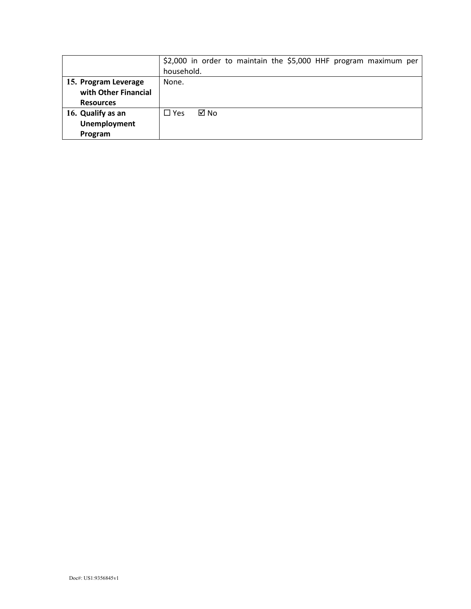|                      |            |      |  |  |  | \$2,000 in order to maintain the \$5,000 HHF program maximum per |  |
|----------------------|------------|------|--|--|--|------------------------------------------------------------------|--|
|                      | household. |      |  |  |  |                                                                  |  |
| 15. Program Leverage | None.      |      |  |  |  |                                                                  |  |
| with Other Financial |            |      |  |  |  |                                                                  |  |
| <b>Resources</b>     |            |      |  |  |  |                                                                  |  |
| 16. Qualify as an    | $\Box$ Yes | ⊠ No |  |  |  |                                                                  |  |
| <b>Unemployment</b>  |            |      |  |  |  |                                                                  |  |
| Program              |            |      |  |  |  |                                                                  |  |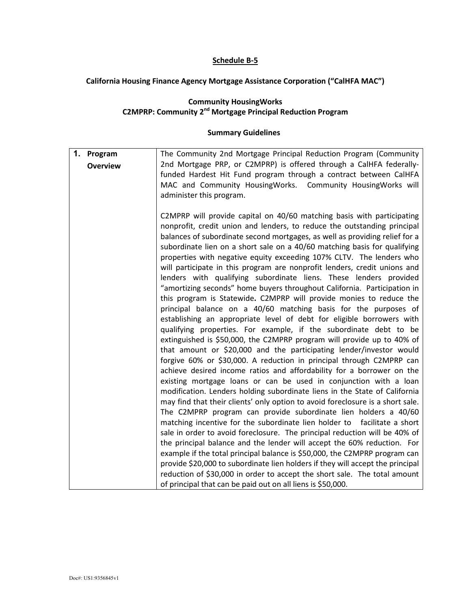#### **Schedule B-5**

# **California Housing Finance Agency Mortgage Assistance Corporation ("CalHFA MAC")**

#### **Community HousingWorks C2MPRP: Community 2nd Mortgage Principal Reduction Program**

| 1. Program      | The Community 2nd Mortgage Principal Reduction Program (Community                                                                                      |
|-----------------|--------------------------------------------------------------------------------------------------------------------------------------------------------|
| <b>Overview</b> | 2nd Mortgage PRP, or C2MPRP) is offered through a CalHFA federally-                                                                                    |
|                 | funded Hardest Hit Fund program through a contract between CalHFA                                                                                      |
|                 | MAC and Community HousingWorks. Community HousingWorks will                                                                                            |
|                 | administer this program.                                                                                                                               |
|                 |                                                                                                                                                        |
|                 | C2MPRP will provide capital on 40/60 matching basis with participating                                                                                 |
|                 | nonprofit, credit union and lenders, to reduce the outstanding principal                                                                               |
|                 | balances of subordinate second mortgages, as well as providing relief for a                                                                            |
|                 | subordinate lien on a short sale on a 40/60 matching basis for qualifying<br>properties with negative equity exceeding 107% CLTV. The lenders who      |
|                 | will participate in this program are nonprofit lenders, credit unions and                                                                              |
|                 | lenders with qualifying subordinate liens. These lenders provided                                                                                      |
|                 | "amortizing seconds" home buyers throughout California. Participation in                                                                               |
|                 | this program is Statewide. C2MPRP will provide monies to reduce the                                                                                    |
|                 | principal balance on a 40/60 matching basis for the purposes of                                                                                        |
|                 | establishing an appropriate level of debt for eligible borrowers with                                                                                  |
|                 | qualifying properties. For example, if the subordinate debt to be                                                                                      |
|                 | extinguished is \$50,000, the C2MPRP program will provide up to 40% of                                                                                 |
|                 | that amount or \$20,000 and the participating lender/investor would                                                                                    |
|                 | forgive 60% or \$30,000. A reduction in principal through C2MPRP can                                                                                   |
|                 | achieve desired income ratios and affordability for a borrower on the                                                                                  |
|                 | existing mortgage loans or can be used in conjunction with a loan                                                                                      |
|                 | modification. Lenders holding subordinate liens in the State of California                                                                             |
|                 | may find that their clients' only option to avoid foreclosure is a short sale.                                                                         |
|                 | The C2MPRP program can provide subordinate lien holders a 40/60                                                                                        |
|                 | matching incentive for the subordinate lien holder to facilitate a short<br>sale in order to avoid foreclosure. The principal reduction will be 40% of |
|                 | the principal balance and the lender will accept the 60% reduction. For                                                                                |
|                 | example if the total principal balance is \$50,000, the C2MPRP program can                                                                             |
|                 | provide \$20,000 to subordinate lien holders if they will accept the principal                                                                         |
|                 | reduction of \$30,000 in order to accept the short sale. The total amount                                                                              |
|                 | of principal that can be paid out on all liens is \$50,000.                                                                                            |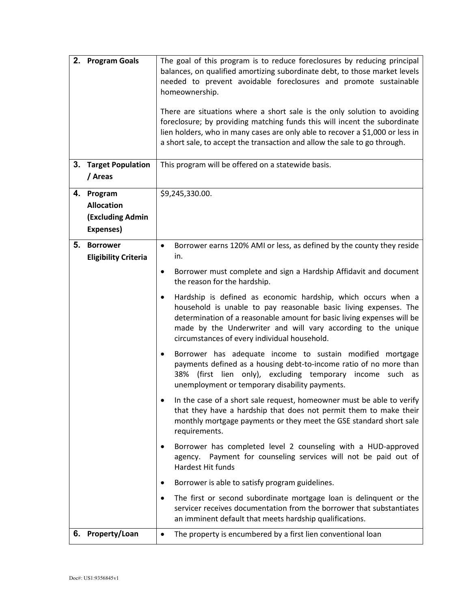| 3. | 2. Program Goals<br><b>Target Population</b>                            | The goal of this program is to reduce foreclosures by reducing principal<br>balances, on qualified amortizing subordinate debt, to those market levels<br>needed to prevent avoidable foreclosures and promote sustainable<br>homeownership.<br>There are situations where a short sale is the only solution to avoiding<br>foreclosure; by providing matching funds this will incent the subordinate<br>lien holders, who in many cases are only able to recover a \$1,000 or less in<br>a short sale, to accept the transaction and allow the sale to go through.<br>This program will be offered on a statewide basis.                                                                                                                                                                                                                                                                                                                                                                                                                                                                                                                                                                                                                                                                                                                            |  |  |
|----|-------------------------------------------------------------------------|------------------------------------------------------------------------------------------------------------------------------------------------------------------------------------------------------------------------------------------------------------------------------------------------------------------------------------------------------------------------------------------------------------------------------------------------------------------------------------------------------------------------------------------------------------------------------------------------------------------------------------------------------------------------------------------------------------------------------------------------------------------------------------------------------------------------------------------------------------------------------------------------------------------------------------------------------------------------------------------------------------------------------------------------------------------------------------------------------------------------------------------------------------------------------------------------------------------------------------------------------------------------------------------------------------------------------------------------------|--|--|
|    | / Areas                                                                 |                                                                                                                                                                                                                                                                                                                                                                                                                                                                                                                                                                                                                                                                                                                                                                                                                                                                                                                                                                                                                                                                                                                                                                                                                                                                                                                                                      |  |  |
|    | 4. Program<br><b>Allocation</b><br><b>(Excluding Admin</b><br>Expenses) | \$9,245,330.00.                                                                                                                                                                                                                                                                                                                                                                                                                                                                                                                                                                                                                                                                                                                                                                                                                                                                                                                                                                                                                                                                                                                                                                                                                                                                                                                                      |  |  |
| 5. | <b>Borrower</b><br><b>Eligibility Criteria</b>                          | Borrower earns 120% AMI or less, as defined by the county they reside<br>$\bullet$<br>in.<br>Borrower must complete and sign a Hardship Affidavit and document<br>$\bullet$<br>the reason for the hardship.<br>Hardship is defined as economic hardship, which occurs when a<br>$\bullet$<br>household is unable to pay reasonable basic living expenses. The<br>determination of a reasonable amount for basic living expenses will be<br>made by the Underwriter and will vary according to the unique<br>circumstances of every individual household.<br>Borrower has adequate income to sustain modified mortgage<br>٠<br>payments defined as a housing debt-to-income ratio of no more than<br>(first lien only), excluding temporary<br>38%<br>income such as<br>unemployment or temporary disability payments.<br>In the case of a short sale request, homeowner must be able to verify<br>that they have a hardship that does not permit them to make their<br>monthly mortgage payments or they meet the GSE standard short sale<br>requirements.<br>Borrower has completed level 2 counseling with a HUD-approved<br>Payment for counseling services will not be paid out of<br>agency.<br>Hardest Hit funds<br>Borrower is able to satisfy program guidelines.<br>The first or second subordinate mortgage loan is delinquent or the<br>٠ |  |  |
|    |                                                                         | servicer receives documentation from the borrower that substantiates<br>an imminent default that meets hardship qualifications.                                                                                                                                                                                                                                                                                                                                                                                                                                                                                                                                                                                                                                                                                                                                                                                                                                                                                                                                                                                                                                                                                                                                                                                                                      |  |  |
|    | 6. Property/Loan                                                        | The property is encumbered by a first lien conventional loan<br>$\bullet$                                                                                                                                                                                                                                                                                                                                                                                                                                                                                                                                                                                                                                                                                                                                                                                                                                                                                                                                                                                                                                                                                                                                                                                                                                                                            |  |  |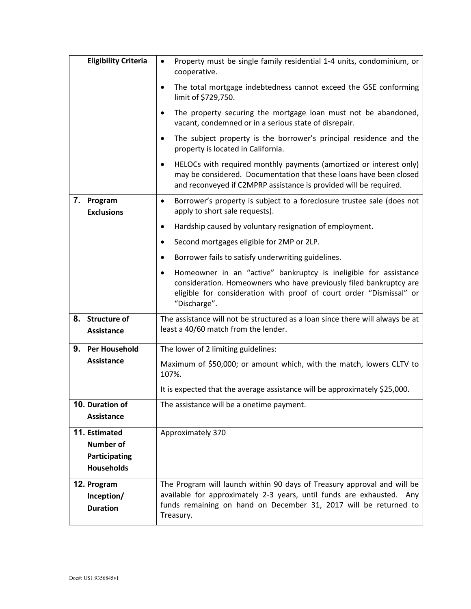|               | <b>Eligibility Criteria</b>                            | Property must be single family residential 1-4 units, condominium, or<br>cooperative.                                                                                                                                              |  |  |  |
|---------------|--------------------------------------------------------|------------------------------------------------------------------------------------------------------------------------------------------------------------------------------------------------------------------------------------|--|--|--|
|               |                                                        | The total mortgage indebtedness cannot exceed the GSE conforming<br>٠<br>limit of \$729,750.                                                                                                                                       |  |  |  |
|               |                                                        | The property securing the mortgage loan must not be abandoned,<br>$\bullet$<br>vacant, condemned or in a serious state of disrepair.                                                                                               |  |  |  |
|               |                                                        | The subject property is the borrower's principal residence and the<br>$\bullet$<br>property is located in California.                                                                                                              |  |  |  |
|               |                                                        | HELOCs with required monthly payments (amortized or interest only)<br>$\bullet$<br>may be considered. Documentation that these loans have been closed<br>and reconveyed if C2MPRP assistance is provided will be required.         |  |  |  |
| 7. Program    | <b>Exclusions</b>                                      | Borrower's property is subject to a foreclosure trustee sale (does not<br>$\bullet$<br>apply to short sale requests).                                                                                                              |  |  |  |
|               |                                                        | Hardship caused by voluntary resignation of employment.<br>٠                                                                                                                                                                       |  |  |  |
|               |                                                        | Second mortgages eligible for 2MP or 2LP.<br>$\bullet$                                                                                                                                                                             |  |  |  |
|               |                                                        | Borrower fails to satisfy underwriting guidelines.<br>٠                                                                                                                                                                            |  |  |  |
|               |                                                        | Homeowner in an "active" bankruptcy is ineligible for assistance<br>٠<br>consideration. Homeowners who have previously filed bankruptcy are<br>eligible for consideration with proof of court order "Dismissal" or<br>"Discharge". |  |  |  |
|               | 8. Structure of<br>Assistance                          | The assistance will not be structured as a loan since there will always be at<br>least a 40/60 match from the lender.                                                                                                              |  |  |  |
| 9.            | <b>Per Household</b>                                   | The lower of 2 limiting guidelines:                                                                                                                                                                                                |  |  |  |
|               | <b>Assistance</b>                                      | Maximum of \$50,000; or amount which, with the match, lowers CLTV to<br>107%.                                                                                                                                                      |  |  |  |
|               |                                                        | It is expected that the average assistance will be approximately \$25,000.                                                                                                                                                         |  |  |  |
|               | 10. Duration of<br><b>Assistance</b>                   | The assistance will be a onetime payment.                                                                                                                                                                                          |  |  |  |
| 11. Estimated | <b>Number of</b><br>Participating<br><b>Households</b> | Approximately 370                                                                                                                                                                                                                  |  |  |  |
| 12. Program   | Inception/<br><b>Duration</b>                          | The Program will launch within 90 days of Treasury approval and will be<br>available for approximately 2-3 years, until funds are exhausted. Any<br>funds remaining on hand on December 31, 2017 will be returned to<br>Treasury.  |  |  |  |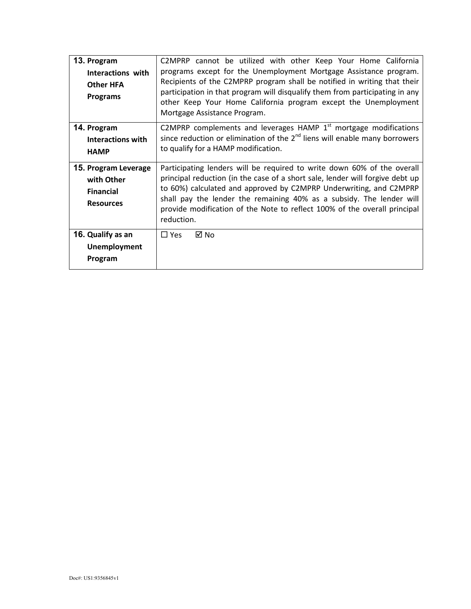| 13. Program<br><b>Interactions with</b><br><b>Other HFA</b><br><b>Programs</b> | C2MPRP cannot be utilized with other Keep Your Home California<br>programs except for the Unemployment Mortgage Assistance program.<br>Recipients of the C2MPRP program shall be notified in writing that their<br>participation in that program will disqualify them from participating in any<br>other Keep Your Home California program except the Unemployment<br>Mortgage Assistance Program. |
|--------------------------------------------------------------------------------|----------------------------------------------------------------------------------------------------------------------------------------------------------------------------------------------------------------------------------------------------------------------------------------------------------------------------------------------------------------------------------------------------|
| 14. Program<br><b>Interactions with</b><br><b>HAMP</b>                         | C2MPRP complements and leverages HAMP $1st$ mortgage modifications<br>since reduction or elimination of the $2^{nd}$ liens will enable many borrowers<br>to qualify for a HAMP modification.                                                                                                                                                                                                       |
| 15. Program Leverage<br>with Other<br><b>Financial</b><br><b>Resources</b>     | Participating lenders will be required to write down 60% of the overall<br>principal reduction (in the case of a short sale, lender will forgive debt up<br>to 60%) calculated and approved by C2MPRP Underwriting, and C2MPRP<br>shall pay the lender the remaining 40% as a subsidy. The lender will<br>provide modification of the Note to reflect 100% of the overall principal<br>reduction.  |
| 16. Qualify as an<br><b>Unemployment</b><br>Program                            | ⊠ No<br>$\Box$ Yes                                                                                                                                                                                                                                                                                                                                                                                 |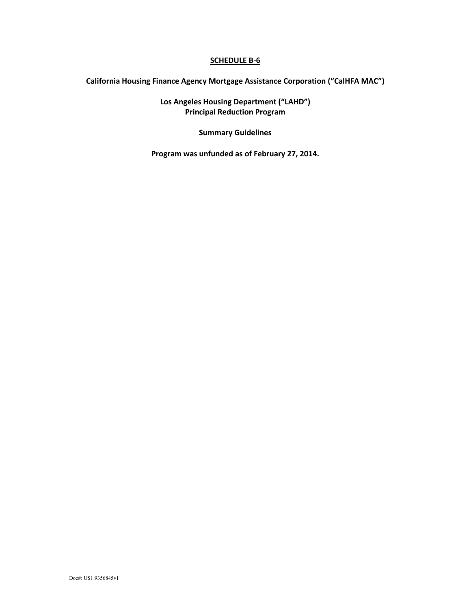# **California Housing Finance Agency Mortgage Assistance Corporation ("CalHFA MAC")**

**Los Angeles Housing Department ("LAHD") Principal Reduction Program**

**Summary Guidelines**

**Program was unfunded as of February 27, 2014.**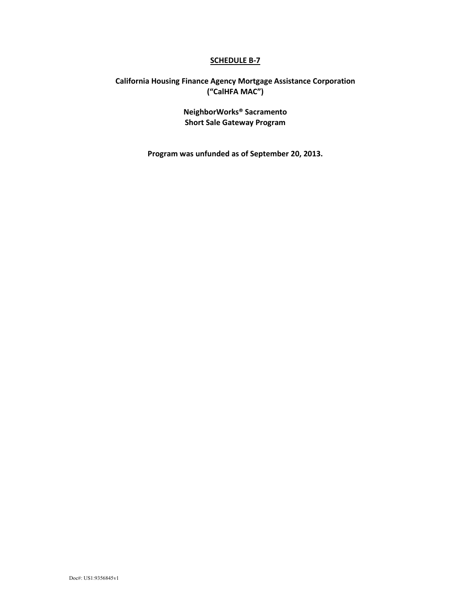# **California Housing Finance Agency Mortgage Assistance Corporation ("CalHFA MAC")**

**NeighborWorks® Sacramento Short Sale Gateway Program**

**Program was unfunded as of September 20, 2013.**